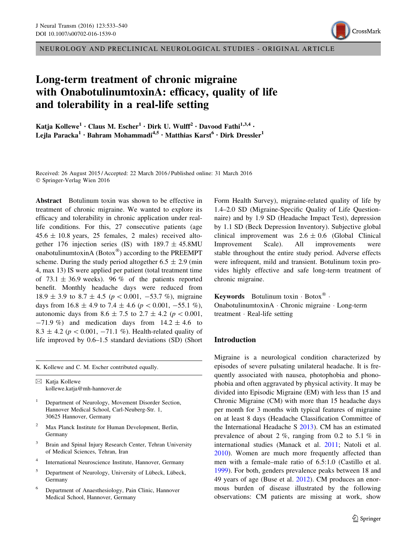NEUROLOGY AND PRECLINICAL NEUROLOGICAL STUDIES - ORIGINAL ARTICLE

# Long-term treatment of chronic migraine with OnabotulinumtoxinA: efficacy, quality of life and tolerability in a real-life setting

Katja Kollewe<sup>1</sup> · Claus M. Escher<sup>1</sup> · Dirk U. Wulff<sup>2</sup> · Davood Fathi<sup>1,3,4</sup> · Lejla Paracka<sup>1</sup> · Bahram Mohammadi<sup>4,5</sup> · Matthias Karst<sup>6</sup> · Dirk Dressler<sup>1</sup>

Received: 26 August 2015 / Accepted: 22 March 2016 / Published online: 31 March 2016 © Springer-Verlag Wien 2016

Abstract Botulinum toxin was shown to be effective in treatment of chronic migraine. We wanted to explore its efficacy and tolerability in chronic application under reallife conditions. For this, 27 consecutive patients (age  $45.6 \pm 10.8$  years, 25 females, 2 males) received altogether 176 injection series (IS) with  $189.7 \pm 45.8$ MU onabotulinumtoxinA (Botox $^{\circledR}$ ) according to the PREEMPT scheme. During the study period altogether  $6.5 \pm 2.9$  (min 4, max 13) IS were applied per patient (total treatment time of  $73.1 \pm 36.9$  weeks). 96 % of the patients reported benefit. Monthly headache days were reduced from  $18.9 \pm 3.9$  to  $8.7 \pm 4.5$  ( $p < 0.001$ ,  $-53.7$  %), migraine days from  $16.8 \pm 4.9$  to  $7.4 \pm 4.6$  ( $p < 0.001, -55.1$  %), autonomic days from  $8.6 \pm 7.5$  to  $2.7 \pm 4.2$  ( $p < 0.001$ ,  $-71.9\%$  and medication days from  $14.2 \pm 4.6$  to 8.3  $\pm$  4.2 ( $p < 0.001$ ,  $-71.1$  %). Health-related quality of life improved by 0.6–1.5 standard deviations (SD) (Short

K. Kollewe and C. M. Escher contributed equally.

 $\boxtimes$  Katja Kollewe kollewe.katja@mh-hannover.de

Department of Neurology, Movement Disorder Section, Hannover Medical School, Carl-Neuberg-Str. 1, 30625 Hannover, Germany

- <sup>2</sup> Max Planck Institute for Human Development, Berlin, Germany
- <sup>3</sup> Brain and Spinal Injury Research Center, Tehran University of Medical Sciences, Tehran, Iran
- <sup>4</sup> International Neuroscience Institute, Hannover, Germany
- <sup>5</sup> Department of Neurology, University of Lübeck, Lübeck, Germany
- <sup>6</sup> Department of Anaesthesiology, Pain Clinic, Hannover Medical School, Hannover, Germany

Form Health Survey), migraine-related quality of life by 1.4–2.0 SD (Migraine-Specific Quality of Life Questionnaire) and by 1.9 SD (Headache Impact Test), depression by 1.1 SD (Beck Depression Inventory). Subjective global clinical improvement was  $2.6 \pm 0.6$  (Global Clinical Improvement Scale). All improvements were stable throughout the entire study period. Adverse effects were infrequent, mild and transient. Botulinum toxin provides highly effective and safe long-term treatment of chronic migraine.

Keywords Botulinum toxin  $\cdot$  Botox $^{\circledR}$ . OnabotulinumtoxinA - Chronic migraine - Long-term treatment - Real-life setting

#### Introduction

Migraine is a neurological condition characterized by episodes of severe pulsating unilateral headache. It is frequently associated with nausea, photophobia and phonophobia and often aggravated by physical activity. It may be divided into Episodic Migraine (EM) with less than 15 and Chronic Migraine (CM) with more than 15 headache days per month for 3 months with typical features of migraine on at least 8 days (Headache Classification Committee of the International Headache S [2013](#page-6-0)). CM has an estimated prevalence of about 2 %, ranging from 0.2 to 5.1 % in international studies (Manack et al. [2011;](#page-7-0) Natoli et al. [2010](#page-7-0)). Women are much more frequently affected than men with a female–male ratio of 6.5:1.0 (Castillo et al. [1999](#page-6-0)). For both, genders prevalence peaks between 18 and 49 years of age (Buse et al. [2012\)](#page-6-0). CM produces an enormous burden of disease illustrated by the following observations: CM patients are missing at work, show

CrossMark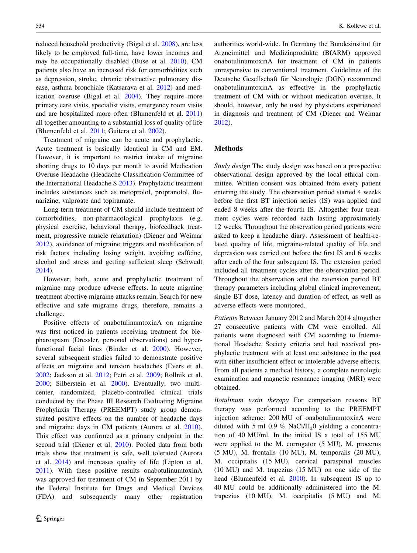reduced household productivity (Bigal et al. [2008\)](#page-6-0), are less likely to be employed full-time, have lower incomes and may be occupationally disabled (Buse et al. [2010](#page-6-0)). CM patients also have an increased risk for comorbidities such as depression, stroke, chronic obstructive pulmonary disease, asthma bronchiale (Katsarava et al. [2012\)](#page-7-0) and medication overuse (Bigal et al. [2004\)](#page-6-0). They require more primary care visits, specialist visits, emergency room visits and are hospitalized more often (Blumenfeld et al. [2011\)](#page-6-0) all together amounting to a substantial loss of quality of life (Blumenfeld et al. [2011;](#page-6-0) Guitera et al. [2002\)](#page-6-0).

Treatment of migraine can be acute and prophylactic. Acute treatment is basically identical in CM and EM. However, it is important to restrict intake of migraine aborting drugs to 10 days per month to avoid Medication Overuse Headache (Headache Classification Committee of the International Headache S [2013\)](#page-6-0). Prophylactic treatment includes substances such as metoprolol, propranolol, flunarizine, valproate and topiramate.

Long-term treatment of CM should include treatment of comorbidities, non-pharmacological prophylaxis (e.g. physical exercise, behavioral therapy, biofeedback treatment, progressive muscle relaxation) (Diener and Weimar [2012\)](#page-6-0), avoidance of migraine triggers and modification of risk factors including losing weight, avoiding caffeine, alcohol and stress and getting sufficient sleep (Schwedt [2014\)](#page-7-0).

However, both, acute and prophylactic treatment of migraine may produce adverse effects. In acute migraine treatment abortive migraine attacks remain. Search for new effective and safe migraine drugs, therefore, remains a challenge.

Positive effects of onabotulinumtoxinA on migraine was first noticed in patients receiving treatment for blepharospasm (Dressler, personal observations) and hyperfunctional facial lines (Binder et al. [2000\)](#page-6-0). However, several subsequent studies failed to demonstrate positive effects on migraine and tension headaches (Evers et al. [2002;](#page-6-0) Jackson et al. [2012](#page-6-0); Petri et al. [2009;](#page-7-0) Rollnik et al. [2000;](#page-7-0) Silberstein et al. [2000\)](#page-7-0). Eventually, two multicenter, randomized, placebo-controlled clinical trials conducted by the Phase III Research Evaluating Migraine Prophylaxis Therapy (PREEMPT) study group demonstrated positive effects on the number of headache days and migraine days in CM patients (Aurora et al. [2010](#page-6-0)). This effect was confirmed as a primary endpoint in the second trial (Diener et al. [2010](#page-6-0)). Pooled data from both trials show that treatment is safe, well tolerated (Aurora et al. [2014](#page-6-0)) and increases quality of life (Lipton et al. [2011\)](#page-7-0). With these positive results onabotulinumtoxinA was approved for treatment of CM in September 2011 by the Federal Institute for Drugs and Medical Devices (FDA) and subsequently many other registration authorities world-wide. In Germany the Bundesinstitut für Arzneimittel und Medizinprodukte (BfARM) approved onabotulinumtoxinA for treatment of CM in patients unresponsive to conventional treatment. Guidelines of the Deutsche Gesellschaft für Neurologie (DGN) recommend onabotulinumtoxinA as effective in the prophylactic treatment of CM with or without medication overuse. It should, however, only be used by physicians experienced in diagnosis and treatment of CM (Diener and Weimar [2012](#page-6-0)).

## Methods

Study design The study design was based on a prospective observational design approved by the local ethical committee. Written consent was obtained from every patient entering the study. The observation period started 4 weeks before the first BT injection series (IS) was applied and ended 8 weeks after the fourth IS. Altogether four treatment cycles were recorded each lasting approximately 12 weeks. Throughout the observation period patients were asked to keep a headache diary. Assessment of health-related quality of life, migraine-related quality of life and depression was carried out before the first IS and 6 weeks after each of the four subsequent IS. The extension period included all treatment cycles after the observation period. Throughout the observation and the extension period BT therapy parameters including global clinical improvement, single BT dose, latency and duration of effect, as well as adverse effects were monitored.

Patients Between January 2012 and March 2014 altogether 27 consecutive patients with CM were enrolled. All patients were diagnosed with CM according to International Headache Society criteria and had received prophylactic treatment with at least one substance in the past with either insufficient effect or intolerable adverse effects. From all patients a medical history, a complete neurologic examination and magnetic resonance imaging (MRI) were obtained.

Botulinum toxin therapy For comparison reasons BT therapy was performed according to the PREEMPT injection scheme: 200 MU of onabotulinumtoxinA were diluted with 5 ml  $0.9 \%$  NaCl/H<sub>2</sub>0 yielding a concentration of 40 MU/ml. In the initial IS a total of 155 MU were applied to the M. corrugator (5 MU), M. procerus (5 MU), M. frontalis (10 MU), M. temporalis (20 MU), M. occipitalis (15 MU), cervical paraspinal muscles (10 MU) and M. trapezius (15 MU) on one side of the head (Blumenfeld et al. [2010](#page-6-0)). In subsequent IS up to 40 MU could be additionally administered into the M. trapezius (10 MU), M. occipitalis (5 MU) and M.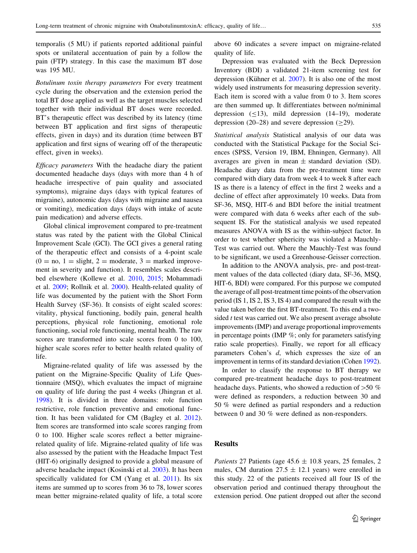temporalis (5 MU) if patients reported additional painful spots or unilateral accentuation of pain by a follow the pain (FTP) strategy. In this case the maximum BT dose was 195 MU.

Botulinum toxin therapy parameters For every treatment cycle during the observation and the extension period the total BT dose applied as well as the target muscles selected together with their individual BT doses were recorded. BT's therapeutic effect was described by its latency (time between BT application and first signs of therapeutic effects, given in days) and its duration (time between BT application and first signs of wearing off of the therapeutic effect, given in weeks).

Efficacy parameters With the headache diary the patient documented headache days (days with more than 4 h of headache irrespective of pain quality and associated symptoms), migraine days (days with typical features of migraine), autonomic days (days with migraine and nausea or vomiting), medication days (days with intake of acute pain medication) and adverse effects.

Global clinical improvement compared to pre-treatment status was rated by the patient with the Global Clinical Improvement Scale (GCI). The GCI gives a general rating of the therapeutic effect and consists of a 4-point scale  $(0 = no, 1 =$  slight,  $2 =$  moderate,  $3 =$  marked improvement in severity and function). It resembles scales described elsewhere (Kollewe et al. [2010](#page-7-0), [2015](#page-7-0); Mohammadi et al. [2009](#page-7-0); Rollnik et al. [2000](#page-7-0)). Health-related quality of life was documented by the patient with the Short Form Health Survey (SF-36). It consists of eight scaled scores: vitality, physical functioning, bodily pain, general health perceptions, physical role functioning, emotional role functioning, social role functioning, mental health. The raw scores are transformed into scale scores from 0 to 100, higher scale scores refer to better health related quality of life.

Migraine-related quality of life was assessed by the patient on the Migraine-Specific Quality of Life Questionnaire (MSQ), which evaluates the impact of migraine on quality of life during the past 4 weeks (Jhingran et al. [1998\)](#page-7-0). It is divided in three domains: role function restrictive, role function preventive and emotional function. It has been validated for CM (Bagley et al. [2012](#page-6-0)). Item scores are transformed into scale scores ranging from 0 to 100. Higher scale scores reflect a better migrainerelated quality of life. Migraine-related quality of life was also assessed by the patient with the Headache Impact Test (HIT-6) originally designed to provide a global measure of adverse headache impact (Kosinski et al. [2003](#page-7-0)). It has been specifically validated for CM (Yang et al. [2011](#page-7-0)). Its six items are summed up to scores from 36 to 78, lower scores mean better migraine-related quality of life, a total score above 60 indicates a severe impact on migraine-related quality of life.

Depression was evaluated with the Beck Depression Inventory (BDI) a validated 21-item screening test for depression (Kühner et al.  $2007$ ). It is also one of the most widely used instruments for measuring depression severity. Each item is scored with a value from 0 to 3. Item scores are then summed up. It differentiates between no/minimal depression  $(\leq 13)$ , mild depression  $(14-19)$ , moderate depression (20–28) and severe depression ( $\geq$ 29).

Statistical analysis Statistical analysis of our data was conducted with the Statistical Package for the Social Sciences (SPSS, Version 19, IBM, Ehningen, Germany). All averages are given in mean  $\pm$  standard deviation (SD). Headache diary data from the pre-treatment time were compared with diary data from week 4 to week 8 after each IS as there is a latency of effect in the first 2 weeks and a decline of effect after approximately 10 weeks. Data from SF-36, MSQ, HIT-6 and BDI before the initial treatment were compared with data 6 weeks after each of the subsequent IS. For the statistical analysis we used repeated measures ANOVA with IS as the within-subject factor. In order to test whether sphericity was violated a Mauchly-Test was carried out. Where the Mauchly-Test was found to be significant, we used a Greenhouse-Geisser correction.

In addition to the ANOVA analysis, pre- and post-treatment values of the data collected (diary data, SF-36, MSQ, HIT-6, BDI) were compared. For this purpose we computed the average of all post-treatment time points of the observation period (IS 1, IS 2, IS 3, IS 4) and compared the result with the value taken before the first BT-treatment. To this end a twosided t test was carried out. We also present average absolute improvements (IMP) and average proportional improvements in percentage points (IMP %; only for parameters satisfying ratio scale properties). Finally, we report for all efficacy parameters Cohen's d, which expresses the size of an improvement in terms of its standard deviation (Cohen [1992\)](#page-6-0).

In order to classify the response to BT therapy we compared pre-treatment headache days to post-treatment headache days. Patients, who showed a reduction of  $>50 \%$ were defined as responders, a reduction between 30 and 50 % were defined as partial responders and a reduction between 0 and 30 % were defined as non-responders.

# Results

Patients 27 Patients (age  $45.6 \pm 10.8$  years, 25 females, 2 males, CM duration  $27.5 \pm 12.1$  years) were enrolled in this study. 22 of the patients received all four IS of the observation period and continued therapy throughout the extension period. One patient dropped out after the second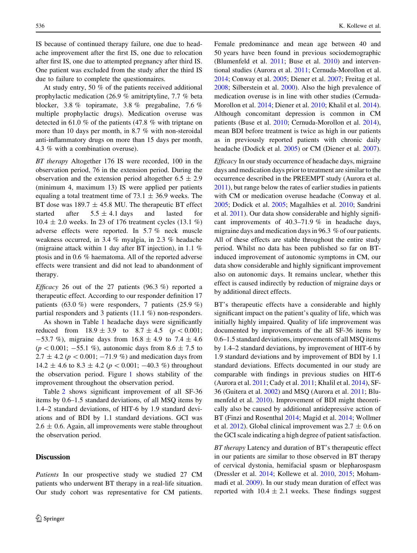IS because of continued therapy failure, one due to headache improvement after the first IS, one due to relocation after first IS, one due to attempted pregnancy after third IS. One patient was excluded from the study after the third IS due to failure to complete the questionnaires.

At study entry, 50 % of the patients received additional prophylactic medication (26.9 % amitriptyline, 7.7 % beta blocker, 3.8 % topiramate, 3.8 % pregabaline, 7.6 % multiple prophylactic drugs). Medication overuse was detected in 61.0 % of the patients (47.8 % with triptane on more than 10 days per month, in 8.7 % with non-steroidal anti-inflammatory drugs on more than 15 days per month, 4.3 % with a combination overuse).

BT therapy Altogether 176 IS were recorded, 100 in the observation period, 76 in the extension period. During the observation and the extension period altogether  $6.5 \pm 2.9$ (minimum 4, maximum 13) IS were applied per patients equaling a total treatment time of 73.1  $\pm$  36.9 weeks. The BT dose was  $189.7 \pm 45.8$  MU. The therapeutic BT effect started after  $5.5 \pm 4.1$  days and lasted for 10.4 ± 2.0 weeks. In 23 of 176 treatment cycles (13.1 %) adverse effects were reported. In 5.7 % neck muscle weakness occurred, in 3.4 % myalgia, in 2.3 % headache (migraine attack within 1 day after BT injection), in 1.1 % ptosis and in 0.6 % haematoma. All of the reported adverse effects were transient and did not lead to abandonment of therapy.

*Efficacy* 26 out of the 27 patients  $(96.3\%)$  reported a therapeutic effect. According to our responder definition 17 patients (63.0 %) were responders, 7 patients (25.9 %) partial responders and 3 patients (11.1 %) non-responders.

As shown in Table [1](#page-4-0) headache days were significantly reduced from  $18.9 \pm 3.9$  to  $8.7 \pm 4.5$  ( $p < 0.001$ ;  $-53.7 \%$ ), migraine days from  $16.8 \pm 4.9$  to  $7.4 \pm 4.6$  $(p < 0.001; -55.1 \%)$ , autonomic days from 8.6  $\pm$  7.5 to  $2.7 \pm 4.2$  ( $p < 0.001$ ;  $-71.9$  %) and medication days from 14.2  $\pm$  4.6 to 8.3  $\pm$  4.2 ( $p < 0.001$ ; -40.3 %) throughout the observation period. Figure [1](#page-4-0) shows stability of the improvement throughout the observation period.

Table [2](#page-5-0) shows significant improvement of all SF-36 items by 0.6–1.5 standard deviations, of all MSQ items by 1.4–2 standard deviations, of HIT-6 by 1.9 standard deviations and of BDI by 1.1 standard deviations. GCI was  $2.6 \pm 0.6$ . Again, all improvements were stable throughout the observation period.

### **Discussion**

Patients In our prospective study we studied 27 CM patients who underwent BT therapy in a real-life situation. Our study cohort was representative for CM patients.

Female predominance and mean age between 40 and 50 years have been found in previous sociodemographic (Blumenfeld et al. [2011](#page-6-0); Buse et al. [2010](#page-6-0)) and interventional studies (Aurora et al. [2011](#page-6-0); Cernuda-Morollon et al. [2014](#page-6-0); Conway et al. [2005](#page-6-0); Diener et al. [2007;](#page-6-0) Freitag et al. [2008](#page-6-0); Silberstein et al. [2000\)](#page-7-0). Also the high prevalence of medication overuse is in line with other studies (Cernuda-Morollon et al. [2014;](#page-6-0) Diener et al. [2010](#page-6-0); Khalil et al. [2014](#page-7-0)). Although concomitant depression is common in CM patients (Buse et al. [2010;](#page-6-0) Cernuda-Morollon et al. [2014](#page-6-0)), mean BDI before treatment is twice as high in our patients as in previously reported patients with chronic daily headache (Dodick et al. [2005](#page-6-0)) or CM (Diener et al. [2007](#page-6-0)).

Efficacy In our study occurrence of headache days, migraine days and medication days prior to treatment are similar to the occurrence described in the PREEMPT study (Aurora et al. [2011](#page-6-0)), but range below the rates of earlier studies in patients with CM or medication overuse headache (Conway et al. [2005](#page-6-0); Dodick et al. 2005; Magalhães et al. [2010](#page-7-0); Sandrini et al. [2011](#page-7-0)). Our data show considerable and highly significant improvements of 40.3–71.9 % in headache days, migraine days and medication days in 96.3 % of our patients. All of these effects are stable throughout the entire study period. Whilst no data has been published so far on BTinduced improvement of autonomic symptoms in CM, our data show considerable and highly significant improvement also on autonomic days. It remains unclear, whether this effect is caused indirectly by reduction of migraine days or by additional direct effects.

BT's therapeutic effects have a considerable and highly significant impact on the patient's quality of life, which was initially highly impaired. Quality of life improvement was documented by improvements of the all SF-36 items by 0.6–1.5 standard deviations, improvements of all MSQ items by 1.4–2 standard deviations, by improvement of HIT-6 by 1.9 standard deviations and by improvement of BDI by 1.1 standard deviations. Effects documented in our study are comparable with findings in previous studies on HIT-6 (Aurora et al. [2011;](#page-6-0) Cady et al. [2011](#page-6-0); Khalil et al. [2014](#page-7-0)), SF-36 (Guitera et al. [2002](#page-6-0)) and MSQ (Aurora et al. [2011](#page-6-0); Blumenfeld et al. [2010\)](#page-6-0). Improvement of BDI might theoretically also be caused by additional antidepressive action of BT (Finzi and Rosenthal [2014](#page-6-0); Magid et al. [2014](#page-7-0); Wollmer et al. [2012](#page-7-0)). Global clinical improvement was  $2.7 \pm 0.6$  on the GCI scale indicating a high degree of patient satisfaction.

BT therapy Latency and duration of BT's therapeutic effect in our patients are similar to those observed in BT therapy of cervical dystonia, hemifacial spasm or blepharospasm (Dressler et al. [2014](#page-6-0); Kollewe et al. [2010,](#page-7-0) [2015;](#page-7-0) Mohammadi et al. [2009](#page-7-0)). In our study mean duration of effect was reported with  $10.4 \pm 2.1$  weeks. These findings suggest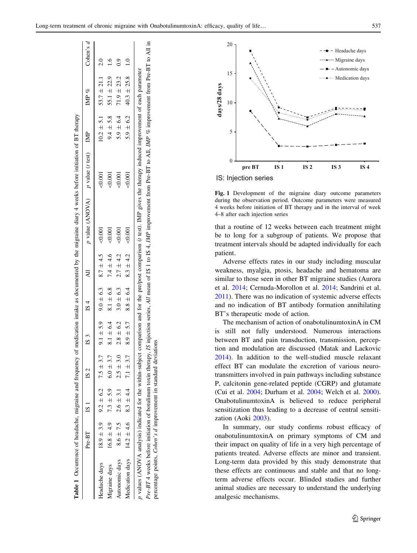<span id="page-4-0"></span>

|                |                                                                 |               |                |                             |               | Table 1 Occurrence of headache, migraine and frequency of medication intake as documented by the migraine diary 4 weeks before initiation of BT therapy                                 |              |               |                                    |                |
|----------------|-----------------------------------------------------------------|---------------|----------------|-----------------------------|---------------|-----------------------------------------------------------------------------------------------------------------------------------------------------------------------------------------|--------------|---------------|------------------------------------|----------------|
|                | Pre-BT IS 1                                                     | S 2           | $\mathbb{S}$ 3 | 1S <sub>4</sub>             | $\ddot{A}$    | $p$ value (ANOVA) $p$ value ( <i>t</i> test) IMP                                                                                                                                        |              |               | MP %                               | Cohen's $d$    |
| Headache days  | $18.9 \pm 3.9$ $9.2 \pm 6.2$ $7.5 \pm 3.7$                      |               |                | $9.1 \pm 5.9$ $9.0 \pm 6.3$ | $8.7 \pm 4.5$ | $-0.001$                                                                                                                                                                                | $<\!\!0.001$ |               | $10.2 \pm 5.1$ $53.7 \pm 21.1$ 2.0 |                |
| Migraine days  | $16.8 \pm 4.9$ 7.3 $\pm 5.9$ 6.0 $\pm 3.7$                      |               | $8.1 \pm 6.4$  | $8.1 \pm 6.8$               | $7.4 \pm 4.6$ | $\overline{\mathrm{0.001}}$                                                                                                                                                             | < 0.001      | $9.4 \pm 5.8$ | $55.1 \pm 22.9$                    | $\frac{1}{2}$  |
| Autonomic days | $8.6 \pm 7.5$ $2.6 \pm 3.1$                                     | $2.5 \pm 3.0$ | $2.8 \pm 6.2$  | $3.0 \pm 6.3$               | $2.7 \pm 4.2$ | $\odot 000$                                                                                                                                                                             | < 0.001      | $5.9 \pm 6.4$ | $71.9 \pm 23.2$                    | $\overline{0}$ |
|                | Medication days 14.2 ± 4.6 8.3 ± 4.4 7.1 ± 3.7                  |               | $8.9 \pm 5.7$  | $8.8 \pm 6.4$               | $8.3 \pm 4.2$ | $-0.001$                                                                                                                                                                                | < 0.001      | $5.9 \pm 6.2$ | $40.3 \pm 25.8$                    | $\frac{1}{1}$  |
|                |                                                                 |               |                |                             |               | y values (ANOVA analysis) indicated for the within-subject comparison and for the pre/post comparison (t test). IMP gives the therapy induced improvement of each parameter             |              |               |                                    |                |
|                |                                                                 |               |                |                             |               | Pre-BT 4 weeks before initiation of botulinum toxin therapy, IS injection series, All mean of IS 1 to IS 4, IMP improvement from Pre-BT to All, IMP % improvement from Pre-BT to All in |              |               |                                    |                |
|                | percentage points, Cohen's d improvement in standard deviations |               |                |                             |               |                                                                                                                                                                                         |              |               |                                    |                |



IS: Injection series

Fig. 1 Development of the migraine diary outcome parameters during the observation period. Outcome parameters were measured 4 weeks before initiation of BT therapy and in the interval of week 4–8 after each injection series

that a routine of 12 weeks between each treatment might be to long for a subgroup of patients. We propose that treatment intervals should be adapted individually for each patient.

Adverse effects rates in our study including muscular weakness, myalgia, ptosis, headache and hematoma are similar to those seen in other BT migraine studies (Aurora et al. [2014](#page-6-0); Cernuda-Morollon et al. [2014;](#page-6-0) Sandrini et al. [2011](#page-7-0)). There was no indication of systemic adverse effects and no indication of BT antibody formation annihilating BT's therapeutic mode of action.

The mechanism of action of onabotulinumtoxinA in CM is still not fully understood. Numerous interactions between BT and pain transduction, transmission, perception and modulation are discussed (Matak and Lackovic [2014](#page-7-0)). In addition to the well-studied muscle relaxant effect BT can modulate the excretion of various neurotransmitters involved in pain pathways including substance P, calcitonin gene-related peptide (CGRP) and glutamate (Cui et al. [2004](#page-6-0); Durham et al. [2004;](#page-6-0) Welch et al. [2000](#page-7-0)). OnabotulinumtoxinA is believed to reduce peripheral sensitization thus leading to a decrease of central sensitization (Aoki [2003](#page-6-0)).

In summary, our study confirms robust efficacy of onabotulinumtoxinA on primary symptoms of CM and their impact on quality of life in a very high percentage of patients treated. Adverse effects are minor and transient. Long-term data provided by this study demonstrate that these effects are continuous and stable and that no longterm adverse effects occur. Blinded studies and further animal studies are necessary to understand the underlying analgesic mechanisms.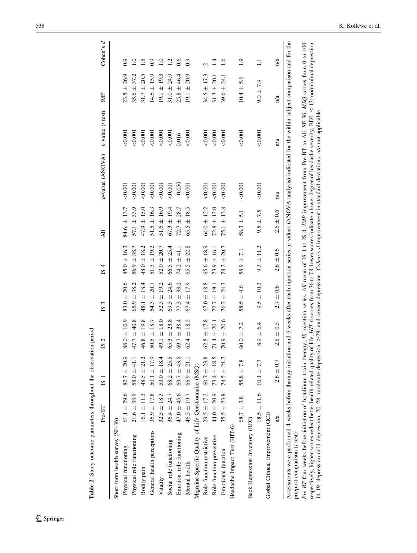<span id="page-5-0"></span>

| Table 2 Study outcome parameters throughout the observation period                                                                                                                                                                                                                                                                                                                                                      |                 |                 |                                |                                |                                |                                            |                                                                                                                                           |                       |                    |                          |
|-------------------------------------------------------------------------------------------------------------------------------------------------------------------------------------------------------------------------------------------------------------------------------------------------------------------------------------------------------------------------------------------------------------------------|-----------------|-----------------|--------------------------------|--------------------------------|--------------------------------|--------------------------------------------|-------------------------------------------------------------------------------------------------------------------------------------------|-----------------------|--------------------|--------------------------|
|                                                                                                                                                                                                                                                                                                                                                                                                                         | $Pre-BT$        | S               | 2<br>2                         | 3<br>$\overline{\mathbf{z}}$   | 4<br>51                        | 급                                          | p-value (ANOVA)                                                                                                                           | $p$ value ( $t$ test) | $\mathbb{R}^2$     | P<br>Cohen's             |
| Short form health survey (SF-36)                                                                                                                                                                                                                                                                                                                                                                                        |                 |                 |                                |                                |                                |                                            |                                                                                                                                           |                       |                    |                          |
| Physical functioning                                                                                                                                                                                                                                                                                                                                                                                                    | $61.1 \pm 29.6$ | $82.7 \pm 20.9$ | $88.0 \pm 10.9$                | $83.0 \pm 20.6$                | $85.0 \pm 16.3$                | 84.6. $\pm$ 13.7                           | 0.001                                                                                                                                     | 0.001                 | $23.5 \pm 26.9$    | 0.9                      |
| Physical role functioning                                                                                                                                                                                                                                                                                                                                                                                               | $21.6 \pm 33.9$ | 58.0 $\pm$ 41.1 | 40.8<br>47.7 ±                 | 38.2<br>$65.9 \pm$             | $56.9 \pm 38.7$                | $57.1 \pm 33.9$                            | 0.001                                                                                                                                     | 0.001                 | $35.6 \pm 37.2$    | $\overline{1.0}$         |
| Bodily pain                                                                                                                                                                                                                                                                                                                                                                                                             | $16.1 \pm 11.3$ | $48.5 \pm 21.2$ | $46.8 \pm 19.8$                | 48.1 $\pm$ 18.4                | $48.0 \pm 18.2$                | $47.9 \pm 15.0$                            | 0.001                                                                                                                                     | 0.001                 | $31.7 \pm 20.5$    | $\overline{1.5}$         |
| General health perceptions                                                                                                                                                                                                                                                                                                                                                                                              | $36.9 \pm 17.8$ | $50.1 \pm 17.9$ | $50.5 \pm 18.7$                | $\pm$ 20.1<br>54.3             | $51.3 \pm 19.2$                | $51.5 \pm 16.3$                            | 0.001                                                                                                                                     | 0.001                 | $14.6 \pm 15.9$    | 0.9                      |
| Vitality                                                                                                                                                                                                                                                                                                                                                                                                                | $32.5 \pm 18.3$ | 53.0 $\pm$ 18.4 | $49.1 \pm 18.0$                | ± 19.2<br>52.3                 | 20.7<br>$52.0 \pm$             | $51.6 \pm 16.9$                            | 0.001                                                                                                                                     | 0.001                 | $19.1 \pm 19.3$    | 1.0                      |
| Social role functioning                                                                                                                                                                                                                                                                                                                                                                                                 | $36.4 \pm 24.7$ | $68.2 \pm 25.5$ | 23.8<br>$65.3 \pm$             | 24.6<br>$\overline{+}$<br>69.3 | 25.4<br>$66.5 \pm$             | ± 19.4<br>67.3                             | 0.001                                                                                                                                     | 0.001                 | $31.0 \pm 24.9$    | 1.2                      |
| Emotion. role functioning                                                                                                                                                                                                                                                                                                                                                                                               | $47.0 \pm 45.6$ | $69.7 \pm 43.5$ | 38.4<br>$\overline{+}$<br>69.7 | 33.2<br>$\overline{+}$<br>77.3 | 41.1<br>$\overline{+}$<br>74.2 | ± 28.7<br>72.7                             | 0.050                                                                                                                                     | 0.016                 | 46.4<br>$25.8 \pm$ | 0.6                      |
| Mental health                                                                                                                                                                                                                                                                                                                                                                                                           | $46.5 \pm 19.7$ | $66.9 \pm 21.1$ | $62.4 \pm 18.2$                | $67.4 \pm 17.9$                | 22.8<br>$65.5 \pm$             | ±18.5<br>65.5                              | 0.001                                                                                                                                     | 500,001               | $19.1 \pm 20.9$    | 0.9                      |
| Migraine-Specific Quality of Life Questionnaire (MSQ)                                                                                                                                                                                                                                                                                                                                                                   |                 |                 |                                |                                |                                |                                            |                                                                                                                                           |                       |                    |                          |
| Role function restrictive                                                                                                                                                                                                                                                                                                                                                                                               | $29.5 \pm 17.2$ | $60.7 \pm 23.8$ | $62.8 \pm 17.8$                | $67.0 \pm 18.8$                | $65.6 \pm 18.9$                | $64.0 \pm 12.2$                            | 0.001                                                                                                                                     | 0.001                 | $34.5 \pm 17.3$    | $\overline{\mathcal{C}}$ |
| Role function preventive                                                                                                                                                                                                                                                                                                                                                                                                | $44.0 \pm 20.9$ | $73.4 \pm 18.5$ | $71.4 \pm 20.1$                | $±$ 19.1<br>72.7               | $73.9 \pm 16.1$                | $72.8 \pm 12.0$                            | 0.001                                                                                                                                     | 0.001                 | $31.3 \pm 20.1$    | $\overline{4}$           |
| Emotional function                                                                                                                                                                                                                                                                                                                                                                                                      | $35.5 \pm 23.8$ | $74.5 \pm 21.2$ | 20.6<br>$70.9 \pm$             | 24.3<br>$\overline{+}$<br>76.7 | 20.7<br>$\ddot{+}$<br>78.2     | $75.1 \pm 13.8$                            | 0.001                                                                                                                                     | 0.001                 | $39.6 \pm 24.1$    | 1.6                      |
| Headache Impact Test (HIT-6)                                                                                                                                                                                                                                                                                                                                                                                            |                 |                 |                                |                                |                                |                                            |                                                                                                                                           |                       |                    |                          |
|                                                                                                                                                                                                                                                                                                                                                                                                                         | $68.7 \pm 3.8$  | $55.8 \pm 7.8$  | $60.0 \pm 7.2$                 | $\pm 4.6$<br>58.5              | $58.9 \pm 7.1$                 | $\overline{5.1}$<br>$\overline{+}$<br>58.3 | $0.001$                                                                                                                                   | < 0.001               | $10.4 \pm 5.6$     | $\overline{1.9}$         |
| <b>Beck Depression Inventory (BDI)</b>                                                                                                                                                                                                                                                                                                                                                                                  |                 |                 |                                |                                |                                |                                            |                                                                                                                                           |                       |                    |                          |
|                                                                                                                                                                                                                                                                                                                                                                                                                         | $18.5 \pm 11.6$ | $10.1 \pm 7.7$  | $8.9 \pm 6.4$                  | $9.5 \pm 10.3$                 | $9.3 \pm 11.2$                 | $9.5 \pm 7.5$                              | 0.001                                                                                                                                     | 0.001                 | $9.0 \pm 7.9$      | $\Xi$                    |
| Global Clinical Improvement (GCI)                                                                                                                                                                                                                                                                                                                                                                                       |                 |                 |                                |                                |                                |                                            |                                                                                                                                           |                       |                    |                          |
|                                                                                                                                                                                                                                                                                                                                                                                                                         | $\frac{1}{a}$   | $2.6 \pm 0.7$   | $2.8 \pm 0.5$                  | $2.7 \pm 0.6$                  | $2.6 \pm 0.6$                  | $2.6 \pm 0.6$                              | $\frac{1}{a}$                                                                                                                             | n/a                   | $\frac{1}{a}$      | n/a                      |
| Assessments were performed 4 weeks before therapy initiation and 6 weeks after each injection series. p values (ANOVA analysis) indicated for the within-subject comparison and for the<br>pre/post comparison (t test)                                                                                                                                                                                                 |                 |                 |                                |                                |                                |                                            |                                                                                                                                           |                       |                    |                          |
| Pre-BT four weeks before initiation of botulinum toxin therapy, IS injection series, All mean of IS 1 to IS 4, IMP improvement from Pre-BT to All. SF-36; MSQ scores from 0 to 100,<br>14-19: depression mild depression, 20-28: moderate depression, >29: and severe depression. Cohen's d improvement in standard deviations, n/a not applicable<br>respectively, higher scores reflect better health-related quality |                 |                 |                                |                                |                                |                                            | of life, $HIT-6$ scores from 36 to 78, lower scores indicate a lower degree of headache severity, BDI: $\leq 13$ : no/minimal depression. |                       |                    |                          |
|                                                                                                                                                                                                                                                                                                                                                                                                                         |                 |                 |                                |                                |                                |                                            |                                                                                                                                           |                       |                    |                          |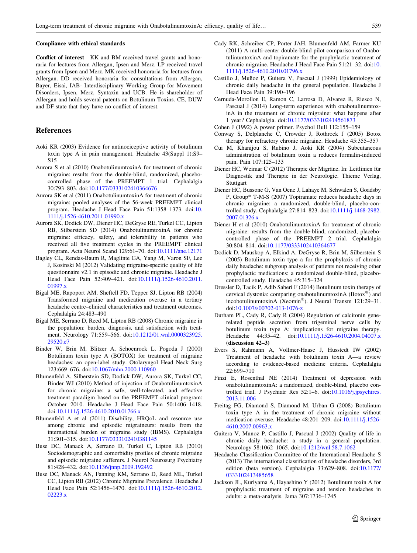#### <span id="page-6-0"></span>Compliance with ethical standards

Conflict of interest KK and BM received travel grants and honoraria for lectures from Allergan, Ipsen and Merz. LP received travel grants from Ipsen and Merz. MK received honoraria for lectures from Allergan. DD received honoraria for consultations from Allergan, Bayer, Eisai, IAB- Interdisciplinary Working Group for Movement Disorders, Ipsen, Merz, Syntaxin and UCB. He is shareholder of Allergan and holds several patents on Botulinum Toxins. CE, DUW and DF state that they have no conflict of interest.

#### References

- Aoki KR (2003) Evidence for antinociceptive activity of botulinum toxin type A in pain management. Headache 43(Suppl 1):S9– S15
- Aurora S et al (2010) OnabotulinumtoxinA for treatment of chronic migraine: results from the double-blind, randomized, placebocontrolled phase of the PREEMPT 1 trial. Cephalalgia 30:793–803. doi:[10.1177/0333102410364676](http://dx.doi.org/10.1177/0333102410364676)
- Aurora SK et al (2011) OnabotulinumtoxinA for treatment of chronic migraine: pooled analyses of the 56-week PREEMPT clinical program. Headache J Head Face Pain 51:1358–1373. doi:[10.](http://dx.doi.org/10.1111/j.1526-4610.2011.01990.x) [1111/j.1526-4610.2011.01990.x](http://dx.doi.org/10.1111/j.1526-4610.2011.01990.x)
- Aurora SK, Dodick DW, Diener HC, DeGryse RE, Turkel CC, Lipton RB, Silberstein SD (2014) OnabotulinumtoxinA for chronic migraine: efficacy, safety, and tolerability in patients who received all five treatment cycles in the PREEMPT clinical program. Acta Neurol Scand 129:61–70. doi[:10.1111/ane.12171](http://dx.doi.org/10.1111/ane.12171)
- Bagley CL, Rendas-Baum R, Maglinte GA, Yang M, Varon SF, Lee J, Kosinski M (2012) Validating migraine-specific quality of life questionnaire v2.1 in episodic and chronic migraine. Headache J Head Face Pain 52:409–421. doi:[10.1111/j.1526-4610.2011.](http://dx.doi.org/10.1111/j.1526-4610.2011.01997.x) [01997.x](http://dx.doi.org/10.1111/j.1526-4610.2011.01997.x)
- Bigal ME, Rapoport AM, Sheftell FD, Tepper SJ, Lipton RB (2004) Transformed migraine and medication overuse in a tertiary headache centre–clinical characteristics and treatment outcomes. Cephalalgia 24:483–490
- Bigal ME, Serrano D, Reed M, Lipton RB (2008) Chronic migraine in the population: burden, diagnosis, and satisfaction with treatment. Neurology 71:559–566. doi[:10.1212/01.wnl.0000323925.](http://dx.doi.org/10.1212/01.wnl.0000323925.29520.e7) [29520.e7](http://dx.doi.org/10.1212/01.wnl.0000323925.29520.e7)
- Binder W, Brin M, Blitzer A, Schoenrock L, Pogoda J (2000) Botulinum toxin type A (BOTOX) for treatment of migraine headaches: an open-label study. Otolaryngol Head Neck Surg 123:669–676. doi:[10.1067/mhn.2000.110960](http://dx.doi.org/10.1067/mhn.2000.110960)
- Blumenfeld A, Silberstein SD, Dodick DW, Aurora SK, Turkel CC, Binder WJ (2010) Method of injection of OnabotulinumtoxinA for chronic migraine: a safe, well-tolerated, and effective treatment paradigm based on the PREEMPT clinical program: October 2010. Headache J Head Face Pain 50:1406–1418. doi[:10.1111/j.1526-4610.2010.01766.x](http://dx.doi.org/10.1111/j.1526-4610.2010.01766.x)
- Blumenfeld A et al (2011) Disability, HRQoL and resource use among chronic and episodic migraineurs: results from the international burden of migraine study (IBMS). Cephalalgia 31:301–315. doi:[10.1177/0333102410381145](http://dx.doi.org/10.1177/0333102410381145)
- Buse DC, Manack A, Serrano D, Turkel C, Lipton RB (2010) Sociodemographic and comorbidity profiles of chronic migraine and episodic migraine sufferers. J Neurol Neurosurg Psychiatry 81:428–432. doi:[10.1136/jnnp.2009.192492](http://dx.doi.org/10.1136/jnnp.2009.192492)
- Buse DC, Manack AN, Fanning KM, Serrano D, Reed ML, Turkel CC, Lipton RB (2012) Chronic Migraine Prevalence. Headache J Head Face Pain 52:1456–1470. doi:[10.1111/j.1526-4610.2012.](http://dx.doi.org/10.1111/j.1526-4610.2012.02223.x) [02223.x](http://dx.doi.org/10.1111/j.1526-4610.2012.02223.x)
- Cady RK, Schreiber CP, Porter JAH, Blumenfeld AM, Farmer KU (2011) A multi-center double-blind pilot comparison of OnabotulinumtoxinA and topiramate for the prophylactic treatment of chronic migraine. Headache J Head Face Pain 51:21–32. doi:[10.](http://dx.doi.org/10.1111/j.1526-4610.2010.01796.x) [1111/j.1526-4610.2010.01796.x](http://dx.doi.org/10.1111/j.1526-4610.2010.01796.x)
- Castillo J, Muñoz P, Guitera V, Pascual J (1999) Epidemiology of chronic daily headache in the general population. Headache J Head Face Pain 39:190–196
- Cernuda-Morollon E, Ramon C, Larrosa D, Alvarez R, Riesco N, Pascual J (2014) Long-term experience with onabotulinumtoxinA in the treatment of chronic migraine: what happens after 1 year? Cephalalgia. doi[:10.1177/0333102414561873](http://dx.doi.org/10.1177/0333102414561873)
- Cohen J (1992) A power primer. Psychol Bull 112:155–159
- Conway S, Delplanche C, Crowder J, Rothrock J (2005) Botox therapy for refractory chronic migraine. Headache 45:355–357
- Cui M, Khanijou S, Rubino J, Aoki KR (2004) Subcutaneous administration of botulinum toxin a reduces formalin-induced pain. Pain 107:125–133
- Diener HC, Weimar C (2012) Therapie der Migräne. In: Leitlinien für Diagnostik und Therapie in der Neurologie. Thieme Verlag, **Stuttgart**
- Diener HC, Bussone G, Van Oene J, Lahaye M, Schwalen S, Goadsby P, Group\* T-M-S (2007) Topiramate reduces headache days in chronic migraine: a randomized, double-blind, placebo-controlled study. Cephalalgia 27:814–823. doi[:10.1111/j.1468-2982.](http://dx.doi.org/10.1111/j.1468-2982.2007.01326.x) [2007.01326.x](http://dx.doi.org/10.1111/j.1468-2982.2007.01326.x)
- Diener H et al (2010) OnabotulinumtoxinA for treatment of chronic migraine: results from the double-blind, randomized, placebocontrolled phase of the PREEMPT 2 trial. Cephalalgia 30:804–814. doi:[10.1177/0333102410364677](http://dx.doi.org/10.1177/0333102410364677)
- Dodick D, Mauskop A, Elkind A, DeGryse R, Brin M, Silberstein S (2005) Botulinum toxin type a for the prophylaxis of chronic daily headache: subgroup analysis of patients not receiving other prophylactic medications: a randomized double-blind, placebocontrolled study. Headache 45:315–324
- Dressler D, Tacik P, Adib Saberi F (2014) Botulinum toxin therapy of cervical dystonia: comparing onabotulinumtoxinA ( $Botox^{\otimes}$ ) and incobotulinumtoxinA (Xeomin®). J Neural Transm 121:29-31. doi[:10.1007/s00702-013-1076-z](http://dx.doi.org/10.1007/s00702-013-1076-z)
- Durham PL, Cady R, Cady R (2004) Regulation of calcitonin generelated peptide secretion from trigeminal nerve cells by botulinum toxin type A: implications for migraine therapy. Headache 44:35-42. doi[:10.1111/j.1526-4610.2004.04007.x](http://dx.doi.org/10.1111/j.1526-4610.2004.04007.x) (discussion 42–3)
- Evers S, Rahmann A, Vollmer-Haase J, Husstedt IW (2002) Treatment of headache with botulinum toxin A—a review according to evidence-based medicine criteria. Cephalalgia 22:699–710
- Finzi E, Rosenthal NE (2014) Treatment of depression with onabotulinumtoxinA: a randomized, double-blind, placebo controlled trial. J Psychiatr Res 52:1–6. doi[:10.1016/j.jpsychires.](http://dx.doi.org/10.1016/j.jpsychires.2013.11.006) [2013.11.006](http://dx.doi.org/10.1016/j.jpsychires.2013.11.006)
- Freitag FG, Diamond S, Diamond M, Urban G (2008) Botulinum toxin type A in the treatment of chronic migraine without medication overuse. Headache 48:201–209. doi[:10.1111/j.1526-](http://dx.doi.org/10.1111/j.1526-4610.2007.00963.x) [4610.2007.00963.x](http://dx.doi.org/10.1111/j.1526-4610.2007.00963.x)
- Guitera V, Munoz P, Castillo J, Pascual J (2002) Quality of life in chronic daily headache: a study in a general population. Neurology 58:1062–1065. doi[:10.1212/wnl.58.7.1062](http://dx.doi.org/10.1212/wnl.58.7.1062)
- Headache Classification Committee of the International Headache S (2013) The international classification of headache disorders, 3rd edition (beta version). Cephalalgia 33:629–808. doi[:10.1177/](http://dx.doi.org/10.1177/0333102413485658) [0333102413485658](http://dx.doi.org/10.1177/0333102413485658)
- Jackson JL, Kuriyama A, Hayashino Y (2012) Botulinum toxin A for prophylactic treatment of migraine and tension headaches in adults: a meta-analysis. Jama 307:1736–1745